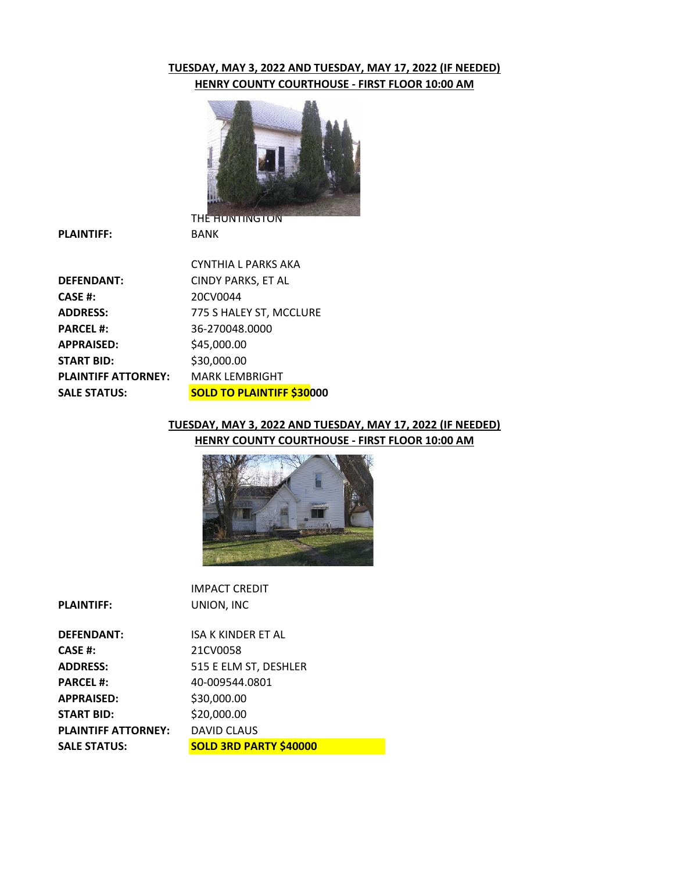## **TUESDAY, MAY 3, 2022 AND TUESDAY, MAY 17, 2022 (IF NEEDED) HENRY COUNTY COURTHOUSE - FIRST FLOOR 10:00 AM**



**PLAINTIFF:**

|                            | CYNTHIA L PARKS AKA              |
|----------------------------|----------------------------------|
| <b>DEFENDANT:</b>          | <b>CINDY PARKS, ET AL</b>        |
| CASE #:                    | 20CV0044                         |
| <b>ADDRESS:</b>            | 775 S HALEY ST, MCCLURE          |
| <b>PARCEL #:</b>           | 36-270048.0000                   |
| <b>APPRAISED:</b>          | \$45,000.00                      |
| <b>START BID:</b>          | \$30,000.00                      |
| <b>PLAINTIFF ATTORNEY:</b> | <b>MARK LEMBRIGHT</b>            |
| <b>SALE STATUS:</b>        | <b>SOLD TO PLAINTIFF \$30000</b> |
|                            |                                  |

BANK

## **TUESDAY, MAY 3, 2022 AND TUESDAY, MAY 17, 2022 (IF NEEDED) HENRY COUNTY COURTHOUSE - FIRST FLOOR 10:00 AM**



|                            | <b>IMPACT CREDIT</b>          |
|----------------------------|-------------------------------|
| <b>PLAINTIFF:</b>          | UNION, INC                    |
|                            |                               |
| <b>DEFENDANT:</b>          | ISA K KINDER ET AL            |
| <b>CASE #:</b>             | 21CV0058                      |
| <b>ADDRESS:</b>            | 515 E ELM ST, DESHLER         |
| <b>PARCEL#:</b>            | 40-009544.0801                |
| <b>APPRAISED:</b>          | \$30,000.00                   |
| <b>START BID:</b>          | \$20,000.00                   |
| <b>PLAINTIFF ATTORNEY:</b> | <b>DAVID CLAUS</b>            |
| <b>SALE STATUS:</b>        | <b>SOLD 3RD PARTY \$40000</b> |